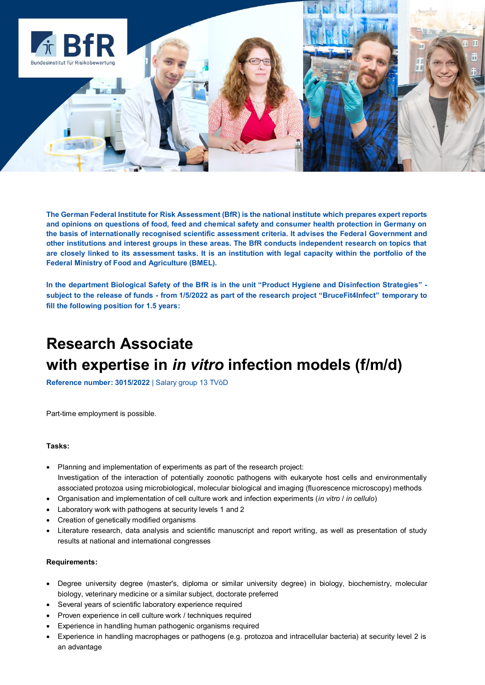

**The German Federal Institute for Risk Assessment (BfR) is the national institute which prepares expert reports and opinions on questions of food, feed and chemical safety and consumer health protection in Germany on the basis of internationally recognised scientific assessment criteria. It advises the Federal Government and other institutions and interest groups in these areas. The BfR conducts independent research on topics that are closely linked to its assessment tasks. It is an institution with legal capacity within the portfolio of the Federal Ministry of Food and Agriculture (BMEL).**

**In the department Biological Safety of the BfR is in the unit "Product Hygiene and Disinfection Strategies" subject to the release of funds - from 1/5/2022 as part of the research project "BruceFit4Infect" temporary to fill the following position for 1.5 years:**

# **Research Associate with expertise in** *in vitro* **infection models (f/m/d)**

**Reference number: 3015/2022** | Salary group 13 TVöD

Part-time employment is possible.

#### **Tasks:**

- Planning and implementation of experiments as part of the research project: Investigation of the interaction of potentially zoonotic pathogens with eukaryote host cells and environmentally associated protozoa using microbiological, molecular biological and imaging (fluorescence microscopy) methods
- Organisation and implementation of cell culture work and infection experiments (*in vitro* / *in cellulo*)
- Laboratory work with pathogens at security levels 1 and 2
- Creation of genetically modified organisms
- Literature research, data analysis and scientific manuscript and report writing, as well as presentation of study results at national and international congresses

#### **Requirements:**

- Degree university degree (master's, diploma or similar university degree) in biology, biochemistry, molecular biology, veterinary medicine or a similar subject, doctorate preferred
- Several years of scientific laboratory experience required
- Proven experience in cell culture work / techniques required
- Experience in handling human pathogenic organisms required
- Experience in handling macrophages or pathogens (e.g. protozoa and intracellular bacteria) at security level 2 is an advantage